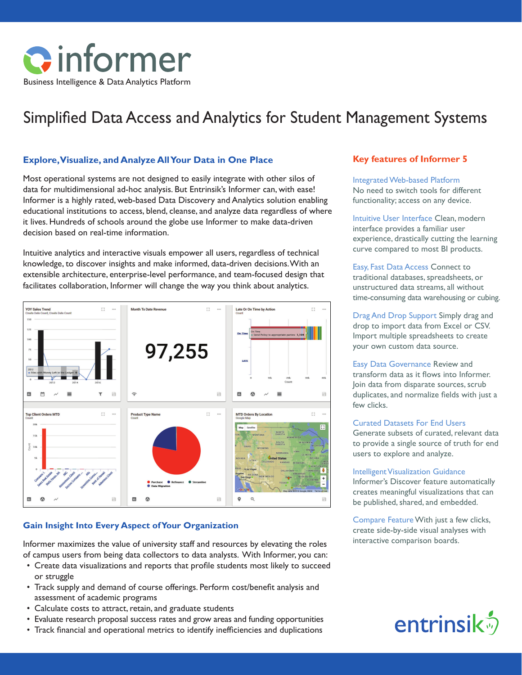

# Simplified Data Access and Analytics for Student Management Systems

#### **Explore, Visualize, and Analyze All Your Data in One Place**

Most operational systems are not designed to easily integrate with other silos of data for multidimensional ad-hoc analysis. But Entrinsik's Informer can, with ease! Informer is a highly rated, web-based Data Discovery and Analytics solution enabling educational institutions to access, blend, cleanse, and analyze data regardless of where it lives. Hundreds of schools around the globe use Informer to make data-driven decision based on real-time information.

Intuitive analytics and interactive visuals empower all users, regardless of technical knowledge, to discover insights and make informed, data-driven decisions. With an extensible architecture, enterprise-level performance, and team-focused design that facilitates collaboration, Informer will change the way you think about analytics.



### **Gain Insight Into Every Aspect of Your Organization**

Informer maximizes the value of university staff and resources by elevating the roles of campus users from being data collectors to data analysts. With Informer, you can:

- Create data visualizations and reports that profile students most likely to succeed or struggle
- Track supply and demand of course offerings. Perform cost/benefit analysis and assessment of academic programs
- Calculate costs to attract, retain, and graduate students
- Evaluate research proposal success rates and grow areas and funding opportunities
- Track financial and operational metrics to identify inefficiencies and duplications

### **Key features of Informer 5**

Integrated Web-based Platform No need to switch tools for different functionality; access on any device.

Intuitive User Interface Clean, modern interface provides a familiar user experience, drastically cutting the learning curve compared to most BI products.

Easy, Fast Data Access Connect to traditional databases, spreadsheets, or unstructured data streams, all without time-consuming data warehousing or cubing.

Drag And Drop Support Simply drag and drop to import data from Excel or CSV. Import multiple spreadsheets to create your own custom data source.

Easy Data Governance Review and transform data as it flows into Informer. Join data from disparate sources, scrub duplicates, and normalize fields with just a few clicks.

#### Curated Datasets For End Users

Generate subsets of curated, relevant data to provide a single source of truth for end users to explore and analyze.

#### Intelligent Visualization Guidance

Informer's Discover feature automatically creates meaningful visualizations that can be published, shared, and embedded.

Compare Feature With just a few clicks, create side-by-side visual analyses with interactive comparison boards.

# entrinsik